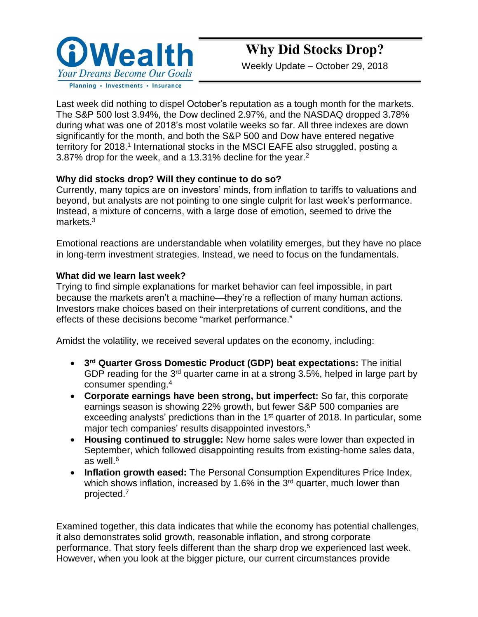

Weekly Update – October 29, 2018

Last week did nothing to dispel October's reputation as a tough month for the markets. The S&P 500 lost 3.94%, the Dow declined 2.97%, and the NASDAQ dropped 3.78% during what was one of 2018's most volatile weeks so far. All three indexes are down significantly for the month, and both the S&P 500 and Dow have entered negative territory for 2018.<sup>1</sup> International stocks in the MSCI EAFE also struggled, posting a 3.87% drop for the week, and a 13.31% decline for the year. 2

## **Why did stocks drop? Will they continue to do so?**

Currently, many topics are on investors' minds, from inflation to tariffs to valuations and beyond, but analysts are not pointing to one single culprit for last week's performance. Instead, a mixture of concerns, with a large dose of emotion, seemed to drive the markets.<sup>3</sup>

Emotional reactions are understandable when volatility emerges, but they have no place in long-term investment strategies. Instead, we need to focus on the fundamentals.

#### **What did we learn last week?**

Trying to find simple explanations for market behavior can feel impossible, in part because the markets aren't a machine—they're a reflection of many human actions. Investors make choices based on their interpretations of current conditions, and the effects of these decisions become "market performance."

Amidst the volatility, we received several updates on the economy, including:

- **3 rd Quarter Gross Domestic Product (GDP) beat expectations:** The initial GDP reading for the  $3<sup>rd</sup>$  quarter came in at a strong 3.5%, helped in large part by consumer spending.<sup>4</sup>
- **Corporate earnings have been strong, but imperfect:** So far, this corporate earnings season is showing 22% growth, but fewer S&P 500 companies are exceeding analysts' predictions than in the 1<sup>st</sup> quarter of 2018. In particular, some major tech companies' results disappointed investors.<sup>5</sup>
- **Housing continued to struggle:** New home sales were lower than expected in September, which followed disappointing results from existing-home sales data, as well. $^6\,$
- **Inflation growth eased:** The Personal Consumption Expenditures Price Index, which shows inflation, increased by 1.6% in the 3<sup>rd</sup> quarter, much lower than projected.<sup>7</sup>

Examined together, this data indicates that while the economy has potential challenges, it also demonstrates solid growth, reasonable inflation, and strong corporate performance. That story feels different than the sharp drop we experienced last week. However, when you look at the bigger picture, our current circumstances provide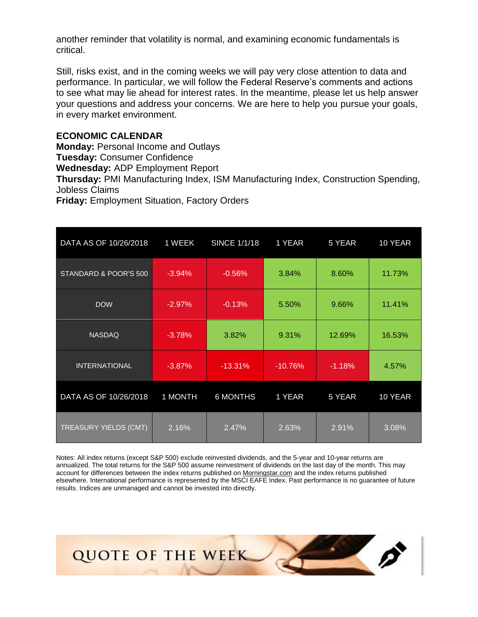another reminder that volatility is normal, and examining economic fundamentals is critical.

Still, risks exist, and in the coming weeks we will pay very close attention to data and performance. In particular, we will follow the Federal Reserve's comments and actions to see what may lie ahead for interest rates. In the meantime, please let us help answer your questions and address your concerns. We are here to help you pursue your goals, in every market environment.

#### **ECONOMIC CALENDAR**

**Monday:** Personal Income and Outlays

**Tuesday:** Consumer Confidence

**Wednesday:** ADP Employment Report

**Thursday:** PMI Manufacturing Index, ISM Manufacturing Index, Construction Spending, Jobless Claims

**Friday:** Employment Situation, Factory Orders

| DATA AS OF 10/26/2018        | 1 WEEK    | <b>SINCE 1/1/18</b> | 1 YEAR    | 5 YEAR   | 10 YEAR |
|------------------------------|-----------|---------------------|-----------|----------|---------|
| STANDARD & POOR'S 500        | $-3.94%$  | $-0.56%$            | 3.84%     | 8.60%    | 11.73%  |
| <b>DOW</b>                   | $-2.97\%$ | $-0.13%$            | 5.50%     | 9.66%    | 11.41%  |
| <b>NASDAQ</b>                | $-3.78%$  | 3.82%               | 9.31%     | 12.69%   | 16.53%  |
| <b>INTERNATIONAL</b>         | $-3.87%$  | $-13.31%$           | $-10.76%$ | $-1.18%$ | 4.57%   |
| DATA AS OF 10/26/2018        | 1 MONTH   | <b>6 MONTHS</b>     | 1 YEAR    | 5 YEAR   | 10 YEAR |
| <b>TREASURY YIELDS (CMT)</b> | 2.16%     | 2.47%               | 2.63%     | 2.91%    | 3.08%   |

Notes: All index returns (except S&P 500) exclude reinvested dividends, and the 5-year and 10-year returns are annualized. The total returns for the S&P 500 assume reinvestment of dividends on the last day of the month. This may account for differences between the index returns published on [Morningstar.com](http://morningstar.com/) and the index returns published elsewhere. International performance is represented by the MSCI EAFE Index. Past performance is no guarantee of future results. Indices are unmanaged and cannot be invested into directly.

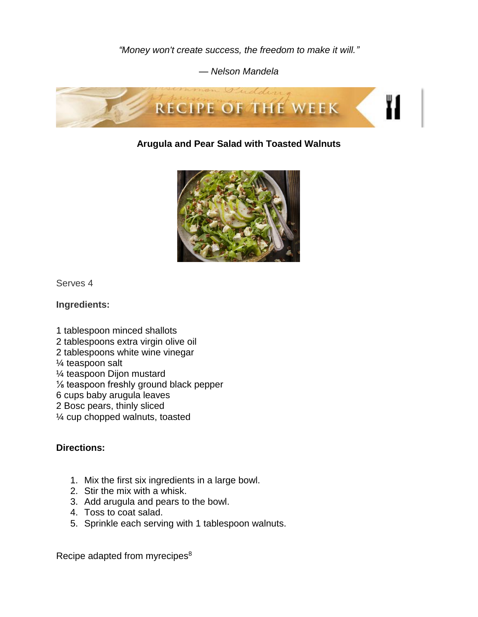*"Money won't create success, the freedom to make it will."* 

— *Nelson Mandela*



# **Arugula and Pear Salad with Toasted Walnuts**



Serves 4

## **Ingredients:**

- 1 tablespoon minced shallots
- 2 tablespoons extra virgin olive oil
- 2 tablespoons white wine vinegar
- ¼ teaspoon salt
- ¼ teaspoon Dijon mustard
- ⅛ teaspoon freshly ground black pepper
- 6 cups baby arugula leaves
- 2 Bosc pears, thinly sliced
- ¼ cup chopped walnuts, toasted

## **Directions:**

- 1. Mix the first six ingredients in a large bowl.
- 2. Stir the mix with a whisk.
- 3. Add arugula and pears to the bowl.
- 4. Toss to coat salad.
- 5. Sprinkle each serving with 1 tablespoon walnuts.

Recipe adapted from myrecipes<sup>8</sup>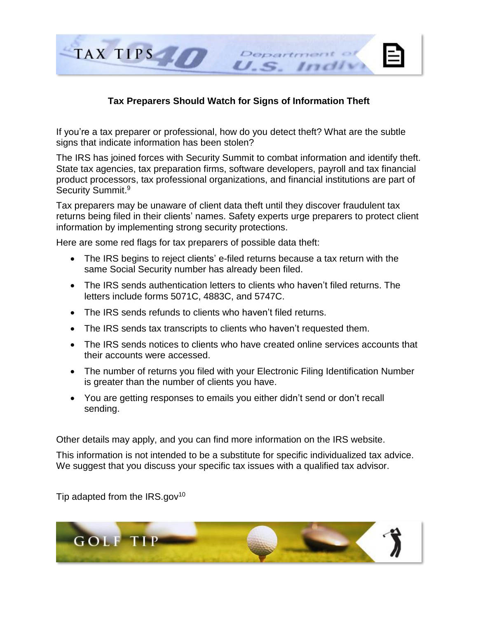

#### **Tax Preparers Should Watch for Signs of Information Theft**

If you're a tax preparer or professional, how do you detect theft? What are the subtle signs that indicate information has been stolen?

The IRS has joined forces with Security Summit to combat information and identify theft. State tax agencies, tax preparation firms, software developers, payroll and tax financial product processors, tax professional organizations, and financial institutions are part of Security Summit.<sup>9</sup>

Tax preparers may be unaware of client data theft until they discover fraudulent tax returns being filed in their clients' names. Safety experts urge preparers to protect client information by implementing strong security protections.

Here are some red flags for tax preparers of possible data theft:

- The IRS begins to reject clients' e-filed returns because a tax return with the same Social Security number has already been filed.
- The IRS sends authentication letters to clients who haven't filed returns. The letters include forms 5071C, 4883C, and 5747C.
- The IRS sends refunds to clients who haven't filed returns.
- The IRS sends tax transcripts to clients who haven't requested them.
- The IRS sends notices to clients who have created online services accounts that their accounts were accessed.
- The number of returns you filed with your Electronic Filing Identification Number is greater than the number of clients you have.
- You are getting responses to emails you either didn't send or don't recall sending.

Other details may apply, and you can find more information on the IRS website.

This information is not intended to be a substitute for specific individualized tax advice. We suggest that you discuss your specific tax issues with a qualified tax advisor.

Tip adapted from the IRS.gov<sup>10</sup>

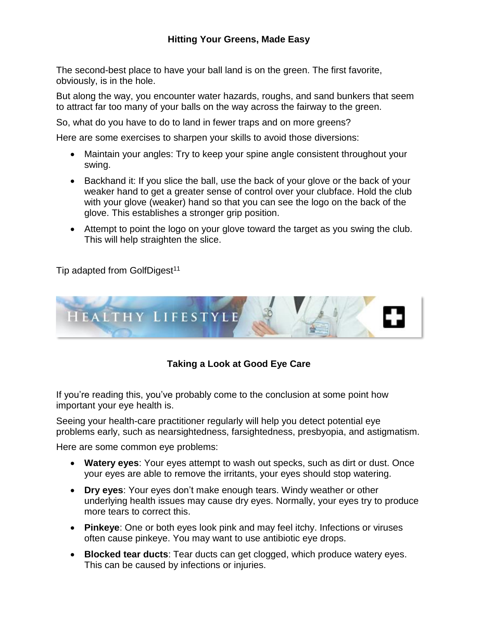The second-best place to have your ball land is on the green. The first favorite, obviously, is in the hole.

But along the way, you encounter water hazards, roughs, and sand bunkers that seem to attract far too many of your balls on the way across the fairway to the green.

So, what do you have to do to land in fewer traps and on more greens?

Here are some exercises to sharpen your skills to avoid those diversions:

- Maintain your angles: Try to keep your spine angle consistent throughout your swing.
- Backhand it: If you slice the ball, use the back of your glove or the back of your weaker hand to get a greater sense of control over your clubface. Hold the club with your glove (weaker) hand so that you can see the logo on the back of the glove. This establishes a stronger grip position.
- Attempt to point the logo on your glove toward the target as you swing the club. This will help straighten the slice.

Tip adapted from GolfDigest<sup>11</sup>



# **Taking a Look at Good Eye Care**

If you're reading this, you've probably come to the conclusion at some point how important your eye health is.

Seeing your health-care practitioner regularly will help you detect potential eye problems early, such as nearsightedness, farsightedness, presbyopia, and astigmatism.

Here are some common eye problems:

- **Watery eyes**: Your eyes attempt to wash out specks, such as dirt or dust. Once your eyes are able to remove the irritants, your eyes should stop watering.
- **Dry eyes**: Your eyes don't make enough tears. Windy weather or other underlying health issues may cause dry eyes. Normally, your eyes try to produce more tears to correct this.
- **Pinkeye**: One or both eyes look pink and may feel itchy. Infections or viruses often cause pinkeye. You may want to use antibiotic eye drops.
- **Blocked tear ducts**: Tear ducts can get clogged, which produce watery eyes. This can be caused by infections or injuries.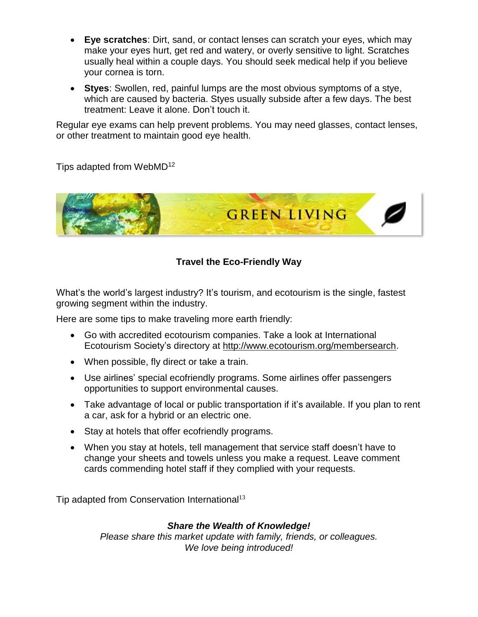- **Eye scratches**: Dirt, sand, or contact lenses can scratch your eyes, which may make your eyes hurt, get red and watery, or overly sensitive to light. Scratches usually heal within a couple days. You should seek medical help if you believe your cornea is torn.
- **Styes**: Swollen, red, painful lumps are the most obvious symptoms of a stye, which are caused by bacteria. Styes usually subside after a few days. The best treatment: Leave it alone. Don't touch it.

Regular eye exams can help prevent problems. You may need glasses, contact lenses, or other treatment to maintain good eye health.

Tips adapted from WebMD<sup>12</sup>



## **Travel the Eco-Friendly Way**

What's the world's largest industry? It's tourism, and ecotourism is the single, fastest growing segment within the industry.

Here are some tips to make traveling more earth friendly:

- Go with accredited ecotourism companies. Take a look at International Ecotourism Society's directory at [http://www.ecotourism.org/membersearch.](http://www.ecotourism.org/membersearch)
- When possible, fly direct or take a train.
- Use airlines' special ecofriendly programs. Some airlines offer passengers opportunities to support environmental causes.
- Take advantage of local or public transportation if it's available. If you plan to rent a car, ask for a hybrid or an electric one.
- Stay at hotels that offer ecofriendly programs.
- When you stay at hotels, tell management that service staff doesn't have to change your sheets and towels unless you make a request. Leave comment cards commending hotel staff if they complied with your requests.

Tip adapted from Conservation International<sup>13</sup>

#### *Share the Wealth of Knowledge!*

*Please share this market update with family, friends, or colleagues. We love being introduced!*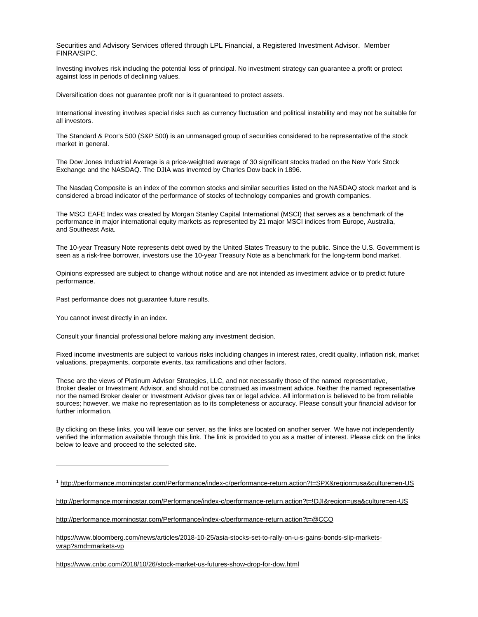Securities and Advisory Services offered through LPL Financial, a Registered Investment Advisor. Member FINRA/SIPC.

Investing involves risk including the potential loss of principal. No investment strategy can guarantee a profit or protect against loss in periods of declining values.

Diversification does not guarantee profit nor is it guaranteed to protect assets.

International investing involves special risks such as currency fluctuation and political instability and may not be suitable for all investors.

The Standard & Poor's 500 (S&P 500) is an unmanaged group of securities considered to be representative of the stock market in general.

The Dow Jones Industrial Average is a price-weighted average of 30 significant stocks traded on the New York Stock Exchange and the NASDAQ. The DJIA was invented by Charles Dow back in 1896.

The Nasdaq Composite is an index of the common stocks and similar securities listed on the NASDAQ stock market and is considered a broad indicator of the performance of stocks of technology companies and growth companies.

The MSCI EAFE Index was created by Morgan Stanley Capital International (MSCI) that serves as a benchmark of the performance in major international equity markets as represented by 21 major MSCI indices from Europe, Australia, and Southeast Asia.

The 10-year Treasury Note represents debt owed by the United States Treasury to the public. Since the U.S. Government is seen as a risk-free borrower, investors use the 10-year Treasury Note as a benchmark for the long-term bond market.

Opinions expressed are subject to change without notice and are not intended as investment advice or to predict future performance.

Past performance does not guarantee future results.

You cannot invest directly in an index.

 $\overline{a}$ 

Consult your financial professional before making any investment decision.

Fixed income investments are subject to various risks including changes in interest rates, credit quality, inflation risk, market valuations, prepayments, corporate events, tax ramifications and other factors.

These are the views of Platinum Advisor Strategies, LLC, and not necessarily those of the named representative, Broker dealer or Investment Advisor, and should not be construed as investment advice. Neither the named representative nor the named Broker dealer or Investment Advisor gives tax or legal advice. All information is believed to be from reliable sources; however, we make no representation as to its completeness or accuracy. Please consult your financial advisor for further information.

By clicking on these links, you will leave our server, as the links are located on another server. We have not independently verified the information available through this link. The link is provided to you as a matter of interest. Please click on the links below to leave and proceed to the selected site.

[http://performance.morningstar.com/Performance/index-c/performance-return.action?t=!DJI&region=usa&culture=en-US](http://performance.morningstar.com/Performance/index-c/performance-return.action?t=!DJI®ion=usa&culture=en-US)

<http://performance.morningstar.com/Performance/index-c/performance-return.action?t=@CCO>

[https://www.bloomberg.com/news/articles/2018-10-25/asia-stocks-set-to-rally-on-u-s-gains-bonds-slip-markets](https://www.bloomberg.com/news/articles/2018-10-25/asia-stocks-set-to-rally-on-u-s-gains-bonds-slip-markets-wrap?srnd=markets-vp)[wrap?srnd=markets-vp](https://www.bloomberg.com/news/articles/2018-10-25/asia-stocks-set-to-rally-on-u-s-gains-bonds-slip-markets-wrap?srnd=markets-vp)

<https://www.cnbc.com/2018/10/26/stock-market-us-futures-show-drop-for-dow.html>

<sup>1</sup> [http://performance.morningstar.com/Performance/index-c/performance-return.action?t=SPX&region=usa&culture=en-US](http://performance.morningstar.com/Performance/index-c/performance-return.action?t=SPX®ion=usa&culture=en-US)